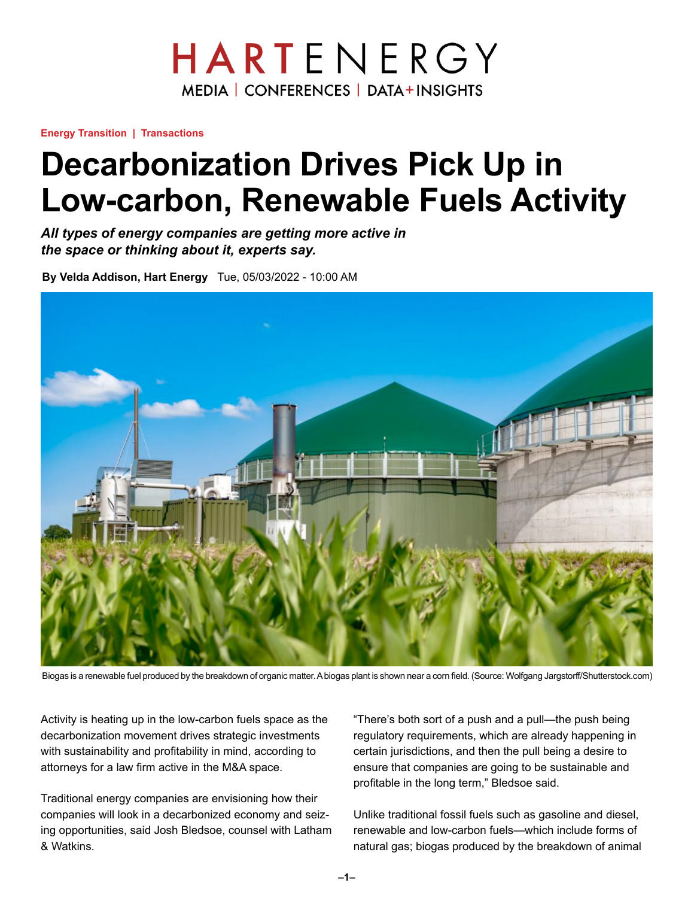## HARTENERGY **MEDIA | CONFERENCES | DATA+INSIGHTS**

**Energy Transition | Transactions**

# **Decarbonization Drives Pick Up in Low-carbon, Renewable Fuels Activity**

*All types of energy companies are getting more active in the space or thinking about it, experts say.*

**By Velda Addison, Hart Energy** Tue, 05/03/2022 - 10:00 AM



Biogas is a renewable fuel produced by the breakdown of organic matter. A biogas plant is shown near a corn field. (Source: Wolfgang Jargstorff/Shutterstock.com)

Activity is heating up in the low-carbon fuels space as the decarbonization movement drives strategic investments with sustainability and profitability in mind, according to attorneys for a law firm active in the M&A space.

Traditional energy companies are envisioning how their companies will look in a decarbonized economy and seizing opportunities, said Josh Bledsoe, counsel with Latham & Watkins.

"There's both sort of a push and a pull—the push being regulatory requirements, which are already happening in certain jurisdictions, and then the pull being a desire to ensure that companies are going to be sustainable and profitable in the long term," Bledsoe said.

Unlike traditional fossil fuels such as gasoline and diesel, renewable and low-carbon fuels—which include forms of natural gas; biogas produced by the breakdown of animal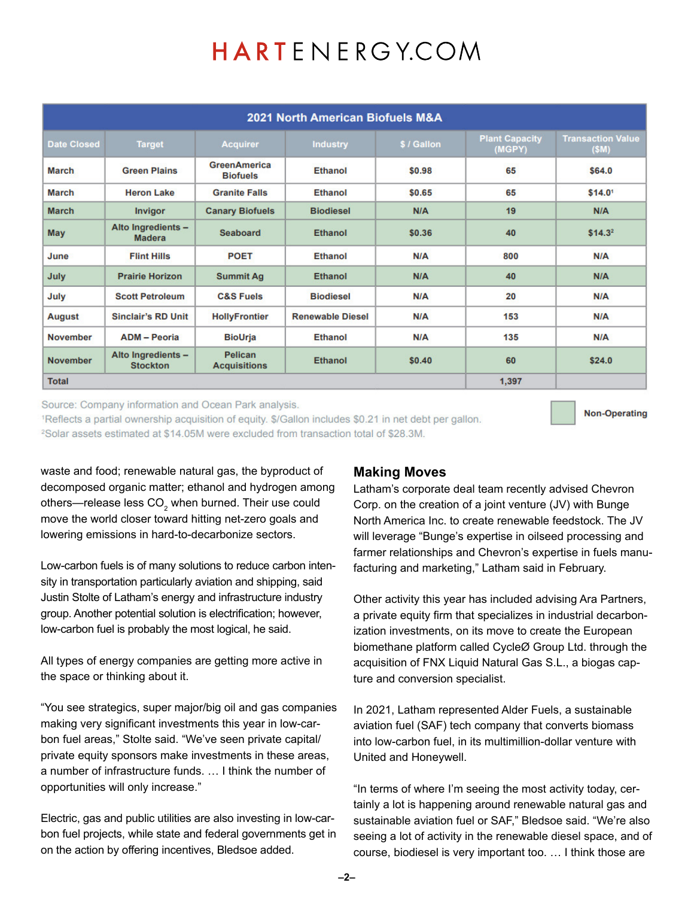# HARTENERGY.COM

| 2021 North American Biofuels M&A |                                       |                                        |                         |             |                                 |                                   |
|----------------------------------|---------------------------------------|----------------------------------------|-------------------------|-------------|---------------------------------|-----------------------------------|
| <b>Date Closed</b>               | <b>Target</b>                         | <b>Acquirer</b>                        | <b>Industry</b>         | \$ / Gallon | <b>Plant Capacity</b><br>(MGPY) | <b>Transaction Value</b><br>(\$M) |
| <b>March</b>                     | <b>Green Plains</b>                   | <b>GreenAmerica</b><br><b>Biofuels</b> | Ethanol                 | \$0.98      | 65                              | \$64.0                            |
| <b>March</b>                     | <b>Heron Lake</b>                     | <b>Granite Falls</b>                   | <b>Ethanol</b>          | \$0.65      | 65                              | \$14.01                           |
| <b>March</b>                     | <b>Invigor</b>                        | <b>Canary Biofuels</b>                 | <b>Biodiesel</b>        | N/A         | 19                              | N/A                               |
| May                              | Alto Ingredients -<br><b>Madera</b>   | <b>Seaboard</b>                        | <b>Ethanol</b>          | \$0.36      | 40                              | \$14.3 <sup>2</sup>               |
| June                             | <b>Flint Hills</b>                    | <b>POET</b>                            | <b>Ethanol</b>          | N/A         | 800                             | N/A                               |
| July                             | <b>Prairie Horizon</b>                | <b>Summit Ag</b>                       | <b>Ethanol</b>          | N/A         | 40                              | N/A                               |
| July                             | <b>Scott Petroleum</b>                | <b>C&amp;S Fuels</b>                   | <b>Biodiesel</b>        | N/A         | 20                              | N/A                               |
| <b>August</b>                    | <b>Sinclair's RD Unit</b>             | <b>HollyFrontier</b>                   | <b>Renewable Diesel</b> | N/A         | 153                             | N/A                               |
| <b>November</b>                  | <b>ADM</b> - Peoria                   | <b>BioUrja</b>                         | <b>Ethanol</b>          | N/A         | 135                             | N/A                               |
| <b>November</b>                  | Alto Ingredients -<br><b>Stockton</b> | Pelican<br><b>Acquisitions</b>         | <b>Ethanol</b>          | \$0.40      | 60                              | \$24.0                            |
| <b>Total</b>                     |                                       |                                        |                         |             | 1,397                           |                                   |

Source: Company information and Ocean Park analysis.

1Reflects a partial ownership acquisition of equity. \$/Gallon includes \$0.21 in net debt per gallon. <sup>2</sup>Solar assets estimated at \$14.05M were excluded from transaction total of \$28.3M.

**Non-Operating** 

waste and food; renewable natural gas, the byproduct of decomposed organic matter; ethanol and hydrogen among others—release less CO $_2$  when burned. Their use could move the world closer toward hitting net-zero goals and lowering emissions in hard-to-decarbonize sectors.

Low-carbon fuels is of many solutions to reduce carbon intensity in transportation particularly aviation and shipping, said Justin Stolte of Latham's energy and infrastructure industry group. Another potential solution is electrification; however, low-carbon fuel is probably the most logical, he said.

All types of energy companies are getting more active in the space or thinking about it.

"You see strategics, super major/big oil and gas companies making very significant investments this year in low-carbon fuel areas," Stolte said. "We've seen private capital/ private equity sponsors make investments in these areas, a number of infrastructure funds. … I think the number of opportunities will only increase."

Electric, gas and public utilities are also investing in low-carbon fuel projects, while state and federal governments get in on the action by offering incentives, Bledsoe added.

#### **Making Moves**

Latham's corporate deal team recently advised Chevron Corp. on the creation of a joint venture (JV) with Bunge North America Inc. to create renewable feedstock. The JV will leverage "Bunge's expertise in oilseed processing and farmer relationships and Chevron's expertise in fuels manufacturing and marketing," Latham said in February.

Other activity this year has included advising Ara Partners, a private equity firm that specializes in industrial decarbonization investments, on its move to create the European biomethane platform called CycleØ Group Ltd. through the acquisition of FNX Liquid Natural Gas S.L., a biogas capture and conversion specialist.

In 2021, Latham represented Alder Fuels, a sustainable aviation fuel (SAF) tech company that converts biomass into low-carbon fuel, in its multimillion-dollar venture with United and Honeywell.

"In terms of where I'm seeing the most activity today, certainly a lot is happening around renewable natural gas and sustainable aviation fuel or SAF," Bledsoe said. "We're also seeing a lot of activity in the renewable diesel space, and of course, biodiesel is very important too. … I think those are